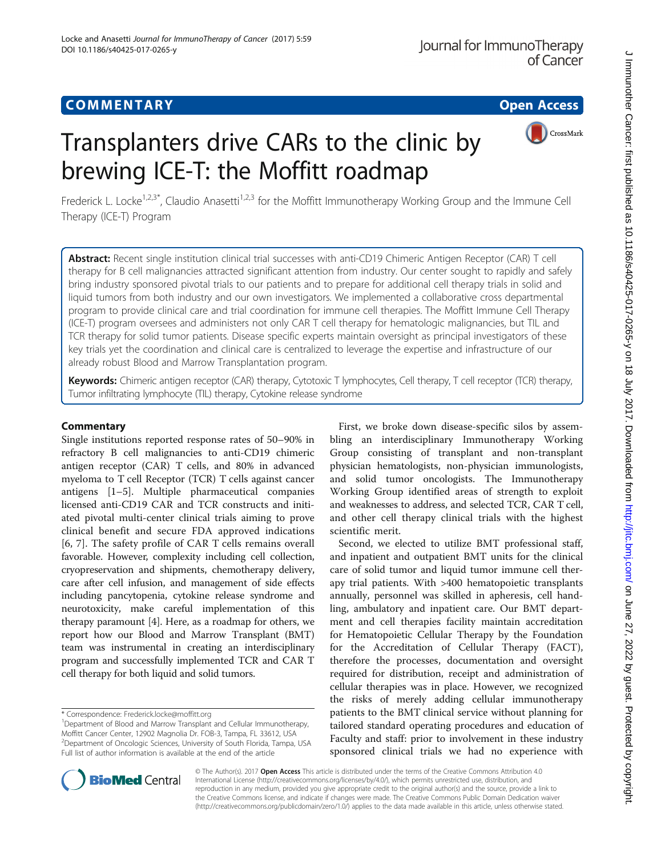# **COMMENTARY COMMENTARY Open Access**

# Transplanters drive CARs to the clinic by brewing ICE-T: the Moffitt roadmap



Frederick L. Locke<sup>1,2,3\*</sup>, Claudio Anasetti<sup>1,2,3</sup> for the Moffitt Immunotherapy Working Group and the Immune Cell Therapy (ICE-T) Program

Abstract: Recent single institution clinical trial successes with anti-CD19 Chimeric Antigen Receptor (CAR) T cell therapy for B cell malignancies attracted significant attention from industry. Our center sought to rapidly and safely bring industry sponsored pivotal trials to our patients and to prepare for additional cell therapy trials in solid and liquid tumors from both industry and our own investigators. We implemented a collaborative cross departmental program to provide clinical care and trial coordination for immune cell therapies. The Moffitt Immune Cell Therapy (ICE-T) program oversees and administers not only CAR T cell therapy for hematologic malignancies, but TIL and TCR therapy for solid tumor patients. Disease specific experts maintain oversight as principal investigators of these key trials yet the coordination and clinical care is centralized to leverage the expertise and infrastructure of our already robust Blood and Marrow Transplantation program.

Keywords: Chimeric antigen receptor (CAR) therapy, Cytotoxic T lymphocytes, Cell therapy, T cell receptor (TCR) therapy, Tumor infiltrating lymphocyte (TIL) therapy, Cytokine release syndrome

### **Commentary**

Single institutions reported response rates of 50–90% in refractory B cell malignancies to anti-CD19 chimeric antigen receptor (CAR) T cells, and 80% in advanced myeloma to T cell Receptor (TCR) T cells against cancer antigens [[1](#page-1-0)–[5](#page-2-0)]. Multiple pharmaceutical companies licensed anti-CD19 CAR and TCR constructs and initiated pivotal multi-center clinical trials aiming to prove clinical benefit and secure FDA approved indications [[6, 7\]](#page-2-0). The safety profile of CAR T cells remains overall favorable. However, complexity including cell collection, cryopreservation and shipments, chemotherapy delivery, care after cell infusion, and management of side effects including pancytopenia, cytokine release syndrome and neurotoxicity, make careful implementation of this therapy paramount [[4\]](#page-1-0). Here, as a roadmap for others, we report how our Blood and Marrow Transplant (BMT) team was instrumental in creating an interdisciplinary program and successfully implemented TCR and CAR T cell therapy for both liquid and solid tumors.

First, we broke down disease-specific silos by assembling an interdisciplinary Immunotherapy Working Group consisting of transplant and non-transplant physician hematologists, non-physician immunologists, and solid tumor oncologists. The Immunotherapy Working Group identified areas of strength to exploit and weaknesses to address, and selected TCR, CAR T cell, and other cell therapy clinical trials with the highest scientific merit.

Second, we elected to utilize BMT professional staff, and inpatient and outpatient BMT units for the clinical care of solid tumor and liquid tumor immune cell therapy trial patients. With >400 hematopoietic transplants annually, personnel was skilled in apheresis, cell handling, ambulatory and inpatient care. Our BMT department and cell therapies facility maintain accreditation for Hematopoietic Cellular Therapy by the Foundation for the Accreditation of Cellular Therapy (FACT), therefore the processes, documentation and oversight required for distribution, receipt and administration of cellular therapies was in place. However, we recognized the risks of merely adding cellular immunotherapy patients to the BMT clinical service without planning for tailored standard operating procedures and education of Faculty and staff: prior to involvement in these industry sponsored clinical trials we had no experience with



© The Author(s). 2017 **Open Access** This article is distributed under the terms of the Creative Commons Attribution 4.0 International License [\(http://creativecommons.org/licenses/by/4.0/](http://creativecommons.org/licenses/by/4.0/)), which permits unrestricted use, distribution, and reproduction in any medium, provided you give appropriate credit to the original author(s) and the source, provide a link to the Creative Commons license, and indicate if changes were made. The Creative Commons Public Domain Dedication waiver [\(http://creativecommons.org/publicdomain/zero/1.0/](http://creativecommons.org/publicdomain/zero/1.0/)) applies to the data made available in this article, unless otherwise stated.

<sup>\*</sup> Correspondence: [Frederick.locke@moffitt.org](mailto:Frederick.locke@moffitt.org) <sup>1</sup>

<sup>&</sup>lt;sup>1</sup>Department of Blood and Marrow Transplant and Cellular Immunotherapy, Moffitt Cancer Center, 12902 Magnolia Dr. FOB-3, Tampa, FL 33612, USA 2 Department of Oncologic Sciences, University of South Florida, Tampa, USA Full list of author information is available at the end of the article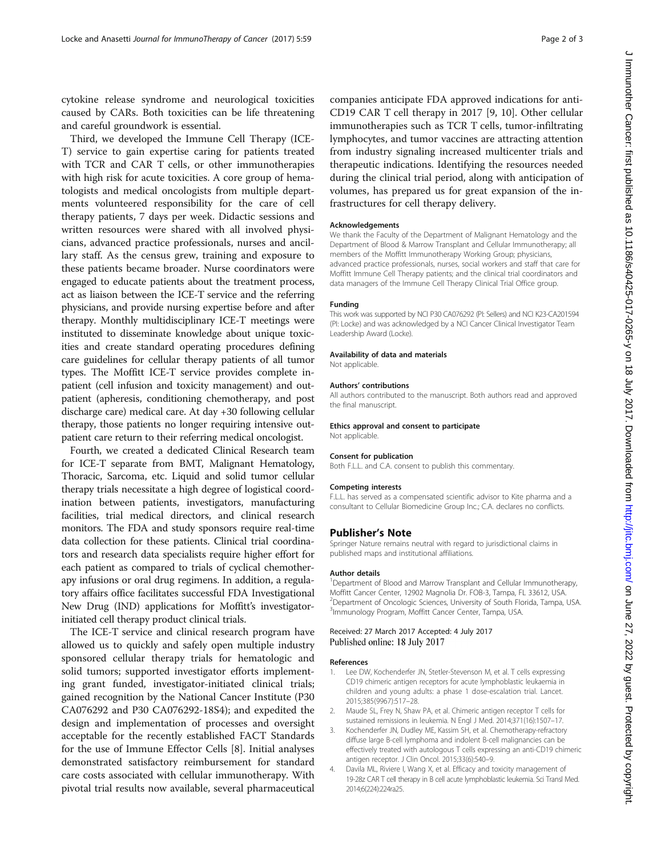<span id="page-1-0"></span>cytokine release syndrome and neurological toxicities caused by CARs. Both toxicities can be life threatening and careful groundwork is essential.

Third, we developed the Immune Cell Therapy (ICE-T) service to gain expertise caring for patients treated with TCR and CAR T cells, or other immunotherapies with high risk for acute toxicities. A core group of hematologists and medical oncologists from multiple departments volunteered responsibility for the care of cell therapy patients, 7 days per week. Didactic sessions and written resources were shared with all involved physicians, advanced practice professionals, nurses and ancillary staff. As the census grew, training and exposure to these patients became broader. Nurse coordinators were engaged to educate patients about the treatment process, act as liaison between the ICE-T service and the referring physicians, and provide nursing expertise before and after therapy. Monthly multidisciplinary ICE-T meetings were instituted to disseminate knowledge about unique toxicities and create standard operating procedures defining care guidelines for cellular therapy patients of all tumor types. The Moffitt ICE-T service provides complete inpatient (cell infusion and toxicity management) and outpatient (apheresis, conditioning chemotherapy, and post discharge care) medical care. At day +30 following cellular therapy, those patients no longer requiring intensive outpatient care return to their referring medical oncologist.

Fourth, we created a dedicated Clinical Research team for ICE-T separate from BMT, Malignant Hematology, Thoracic, Sarcoma, etc. Liquid and solid tumor cellular therapy trials necessitate a high degree of logistical coordination between patients, investigators, manufacturing facilities, trial medical directors, and clinical research monitors. The FDA and study sponsors require real-time data collection for these patients. Clinical trial coordinators and research data specialists require higher effort for each patient as compared to trials of cyclical chemotherapy infusions or oral drug regimens. In addition, a regulatory affairs office facilitates successful FDA Investigational New Drug (IND) applications for Moffitt's investigatorinitiated cell therapy product clinical trials.

The ICE-T service and clinical research program have allowed us to quickly and safely open multiple industry sponsored cellular therapy trials for hematologic and solid tumors; supported investigator efforts implementing grant funded, investigator-initiated clinical trials; gained recognition by the National Cancer Institute (P30 CA076292 and P30 CA076292-18S4); and expedited the design and implementation of processes and oversight acceptable for the recently established FACT Standards for the use of Immune Effector Cells [\[8](#page-2-0)]. Initial analyses demonstrated satisfactory reimbursement for standard care costs associated with cellular immunotherapy. With pivotal trial results now available, several pharmaceutical

companies anticipate FDA approved indications for anti-CD19 CAR T cell therapy in 2017 [\[9](#page-2-0), [10](#page-2-0)]. Other cellular immunotherapies such as TCR T cells, tumor-infiltrating lymphocytes, and tumor vaccines are attracting attention from industry signaling increased multicenter trials and therapeutic indications. Identifying the resources needed during the clinical trial period, along with anticipation of volumes, has prepared us for great expansion of the infrastructures for cell therapy delivery.

#### Acknowledgements

We thank the Faculty of the Department of Malignant Hematology and the Department of Blood & Marrow Transplant and Cellular Immunotherapy; all members of the Moffitt Immunotherapy Working Group; physicians, advanced practice professionals, nurses, social workers and staff that care for Moffitt Immune Cell Therapy patients; and the clinical trial coordinators and data managers of the Immune Cell Therapy Clinical Trial Office group.

#### Funding

This work was supported by NCI P30 CA076292 (PI: Sellers) and NCI K23-CA201594 (PI: Locke) and was acknowledged by a NCI Cancer Clinical Investigator Team Leadership Award (Locke).

#### Availability of data and materials

Not applicable.

#### Authors' contributions

All authors contributed to the manuscript. Both authors read and approved the final manuscript.

Ethics approval and consent to participate Not applicable.

#### Consent for publication

Both F.L.L. and C.A. consent to publish this commentary.

#### Competing interests

F.L.L. has served as a compensated scientific advisor to Kite pharma and a consultant to Cellular Biomedicine Group Inc.; C.A. declares no conflicts.

#### Publisher's Note

Springer Nature remains neutral with regard to jurisdictional claims in published maps and institutional affiliations.

#### Author details

<sup>1</sup>Department of Blood and Marrow Transplant and Cellular Immunotherapy Moffitt Cancer Center, 12902 Magnolia Dr. FOB-3, Tampa, FL 33612, USA. <sup>2</sup> Department of Oncologic Sciences, University of South Florida, Tampa, USA <sup>3</sup>Immunology Program, Moffitt Cancer Center, Tampa, USA.

#### Received: 27 March 2017 Accepted: 4 July 2017 Published online: 18 July 2017

#### References

- Lee DW, Kochenderfer JN, Stetler-Stevenson M, et al. T cells expressing CD19 chimeric antigen receptors for acute lymphoblastic leukaemia in children and young adults: a phase 1 dose-escalation trial. Lancet. 2015;385(9967):517–28.
- 2. Maude SL, Frey N, Shaw PA, et al. Chimeric antigen receptor T cells for sustained remissions in leukemia. N Engl J Med. 2014;371(16):1507–17.
- 3. Kochenderfer JN, Dudley ME, Kassim SH, et al. Chemotherapy-refractory diffuse large B-cell lymphoma and indolent B-cell malignancies can be effectively treated with autologous T cells expressing an anti-CD19 chimeric antigen receptor. J Clin Oncol. 2015;33(6):540–9.
- 4. Davila ML, Riviere I, Wang X, et al. Efficacy and toxicity management of 19-28z CAR T cell therapy in B cell acute lymphoblastic leukemia. Sci Transl Med. 2014;6(224):224ra25.